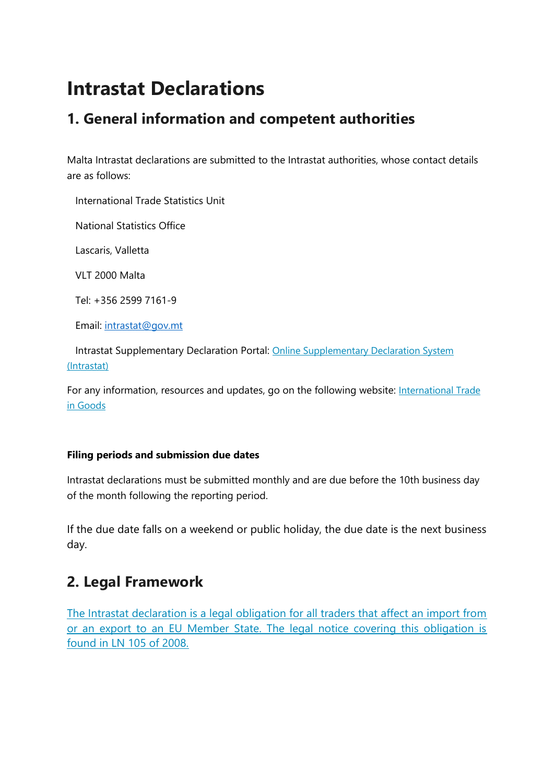# **Intrastat Declarations**

### **1. General information and competent authorities**

Malta Intrastat declarations are submitted to the Intrastat authorities, whose contact details are as follows:

International Trade Statistics Unit

National Statistics Office

Lascaris, Valletta

VLT 2000 Malta

Tel: +356 2599 7161-9

Email: [intrastat@gov.mt](mailto:intrastat@gov.mt)

 Intrastat Supplementary Declaration Portal: [Online Supplementary Declaration System](https://intrastat.nso.gov.mt/)  [\(Intrastat\)](https://intrastat.nso.gov.mt/)

For any information, resources and updates, go on the following website: International Trade [in Goods](https://nso.gov.mt/Home/International_Trade_In_Goods_Statistics/Pages/International_Trade_In_Goods_Statistics.aspx)

#### **Filing periods and submission due dates**

Intrastat declarations must be submitted monthly and are due before the 10th business day of the month following the reporting period.

If the due date falls on a weekend or public holiday, the due date is the next business day.

### **2. Legal Framework**

[The Intrastat declaration is a legal obligation for all traders that affect an import from](https://nso.gov.mt/Home/International_Trade_In_Goods_Statistics/PublishingImages/Pages/Legislation_Legal_Frameworks/Subsidiary%20legislation%20VAT%20406.08.pdf)  [or an export to an EU Member State. The legal notice covering this obligation is](https://nso.gov.mt/Home/International_Trade_In_Goods_Statistics/PublishingImages/Pages/Legislation_Legal_Frameworks/Subsidiary%20legislation%20VAT%20406.08.pdf)  [found in LN 105 of 2008.](https://nso.gov.mt/Home/International_Trade_In_Goods_Statistics/PublishingImages/Pages/Legislation_Legal_Frameworks/Subsidiary%20legislation%20VAT%20406.08.pdf)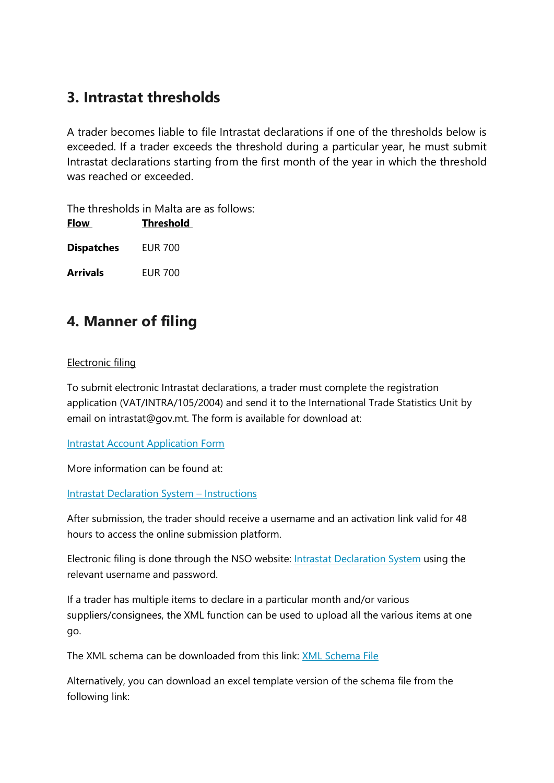### **3. Intrastat thresholds**

A trader becomes liable to file Intrastat declarations if one of the thresholds below is exceeded. If a trader exceeds the threshold during a particular year, he must submit Intrastat declarations starting from the first month of the year in which the threshold was reached or exceeded.

The thresholds in Malta are as follows: **Flow Threshold**

**Dispatches** EUR 700

**Arrivals** EUR 700

### **4. Manner of filing**

#### Electronic filing

To submit electronic Intrastat declarations, a trader must complete the registration application (VAT/INTRA/105/2004) and send it to the International Trade Statistics Unit by email on intrastat@gov.mt. The form is available for download at:

Intrastat Account [Application Form](https://nso.gov.mt/Home/International_Trade_In_Goods_Statistics/Documents/download/SupplementaryDeclarationWebForm.pdf)

More information can be found at:

[Intrastat Declaration System](https://nso.gov.mt/Home/International_Trade_In_Goods_Statistics/Documents/download/Online%20Supplementary%20Declarations%20(INTRASTAT)%20-%20Instructions.pdf) – Instructions

After submission, the trader should receive a username and an activation link valid for 48 hours to access the online submission platform.

Electronic filing is done through the NSO website: [Intrastat Declaration System](http://www.intrastat.gov.mt/) using the relevant username and password.

If a trader has multiple items to declare in a particular month and/or various suppliers/consignees, the XML function can be used to upload all the various items at one go.

The XML schema can be downloaded from this link: [XML Schema File](https://nso.gov.mt/Home/International_Trade_In_Goods_Statistics/Documents/download/Supp_Dec_BulkImports%20ver1022_2.xsd)

Alternatively, you can download an excel template version of the schema file from the following link: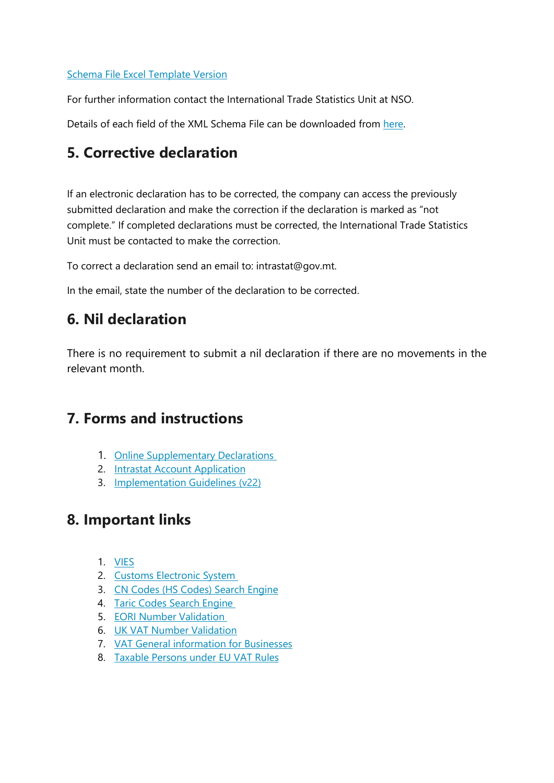#### [Schema File Excel Template Version](https://nso.gov.mt/Home/International_Trade_In_Goods_Statistics/Documents/download/XML%20TEMPLATE_ver0122_v4.xlsx)

For further information contact the International Trade Statistics Unit at NSO.

Details of each field of the XML Schema File can be downloaded from [here.](https://nso.gov.mt/Home/International_Trade_In_Goods_Statistics/Documents/download/Description%20of%20the%20XML%20Schema%20File%20fields_V2.pdf)

### **5. Corrective declaration**

If an electronic declaration has to be corrected, the company can access the previously submitted declaration and make the correction if the declaration is marked as "not complete." If completed declarations must be corrected, the International Trade Statistics Unit must be contacted to make the correction.

To correct a declaration send an email to: intrastat@gov.mt.

In the email, state the number of the declaration to be corrected.

### **6. Nil declaration**

There is no requirement to submit a nil declaration if there are no movements in the relevant month.

### **7. Forms and instructions**

- 1. [Online Supplementary Declarations](https://nso.gov.mt/Home/International_Trade_In_Goods_Statistics/Documents/Intrastat/Online%20Supplementary%20Declarations%20(INTRASTAT).pdf)
- 2. [Intrastat Account Application](https://nso.gov.mt/en/nso/Intrastat/Documents/SupplementaryDeclarationWebForm.pdf)
- 3. **[Implementation Guidelines \(v22\)](https://nso.gov.mt/Home/International_Trade_In_Goods_Statistics/Documents/download/Guidelines%20on%20the%20Implementation_v2022.pdf)**

### **8. Important links**

- 1. [VIES](https://ec.europa.eu/taxation_customs/vies/vatResponse.html)
- 2. [Customs Electronic System](https://icis.gov.mt/nies/login.jsp)
- 3. [CN Codes \(HS Codes\) Search Engine](https://eurostat.prod.3ceonline.com/)
- 4. [Taric Codes Search Engine](https://ec.europa.eu/taxation_customs/dds2/taric/taric_consultation.jsp?Lang=en)
- 5. [EORI Number Validation](https://ec.europa.eu/taxation_customs/dds2/eos/eori_validation.jsp)
- 6. [UK VAT Number Validation](https://www.tax.service.gov.uk/check-vat-number/enter-vat-details)
- 7. [VAT General information for Businesses](https://cfr.gov.mt/en/vat/general_information/Documents/05.%20ICA%20by%20exempt%20taxable%20persons%20and%20non-taxable%20legal%20persons.pdf)
- 8. [Taxable Persons under EU VAT Rules](https://ec.europa.eu/taxation_customs/taxable-persons-under-eu-vat-rules_en)